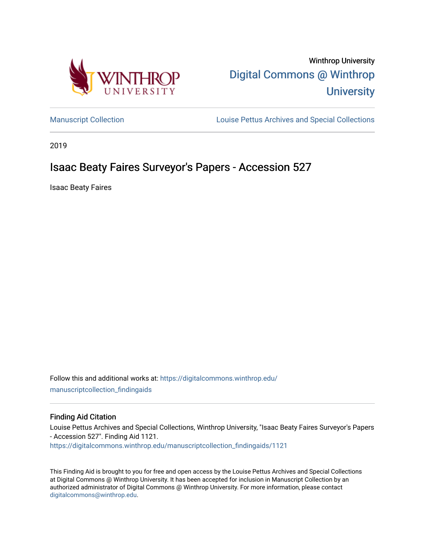

Winthrop University [Digital Commons @ Winthrop](https://digitalcommons.winthrop.edu/)  **University** 

[Manuscript Collection](https://digitalcommons.winthrop.edu/manuscriptcollection_findingaids) **Louise Pettus Archives and Special Collections** 

2019

# Isaac Beaty Faires Surveyor's Papers - Accession 527

Isaac Beaty Faires

Follow this and additional works at: [https://digitalcommons.winthrop.edu/](https://digitalcommons.winthrop.edu/manuscriptcollection_findingaids?utm_source=digitalcommons.winthrop.edu%2Fmanuscriptcollection_findingaids%2F1121&utm_medium=PDF&utm_campaign=PDFCoverPages) [manuscriptcollection\\_findingaids](https://digitalcommons.winthrop.edu/manuscriptcollection_findingaids?utm_source=digitalcommons.winthrop.edu%2Fmanuscriptcollection_findingaids%2F1121&utm_medium=PDF&utm_campaign=PDFCoverPages) 

#### Finding Aid Citation

Louise Pettus Archives and Special Collections, Winthrop University, "Isaac Beaty Faires Surveyor's Papers - Accession 527". Finding Aid 1121. [https://digitalcommons.winthrop.edu/manuscriptcollection\\_findingaids/1121](https://digitalcommons.winthrop.edu/manuscriptcollection_findingaids/1121?utm_source=digitalcommons.winthrop.edu%2Fmanuscriptcollection_findingaids%2F1121&utm_medium=PDF&utm_campaign=PDFCoverPages) 

This Finding Aid is brought to you for free and open access by the Louise Pettus Archives and Special Collections at Digital Commons @ Winthrop University. It has been accepted for inclusion in Manuscript Collection by an authorized administrator of Digital Commons @ Winthrop University. For more information, please contact [digitalcommons@winthrop.edu](mailto:digitalcommons@winthrop.edu).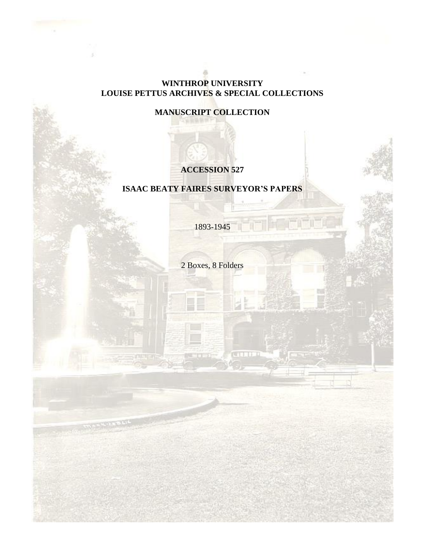## **WINTHROP UNIVERSITY LOUISE PETTUS ARCHIVES & SPECIAL COLLECTIONS**

## **MANUSCRIPT COLLECTION**

## **ACCESSION 527**

## **ISAAC BEATY FAIRES SURVEYOR'S PAPERS**

1893-1945

2 Boxes, 8 Folders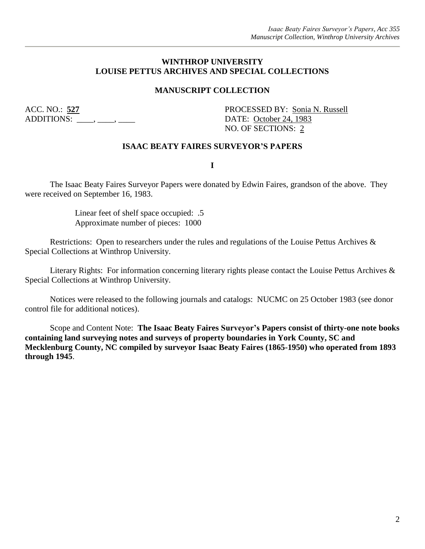#### **WINTHROP UNIVERSITY LOUISE PETTUS ARCHIVES AND SPECIAL COLLECTIONS**

### **MANUSCRIPT COLLECTION**

ADDITIONS: \_\_\_\_, \_\_\_, \_\_\_\_, \_\_\_\_\_ DATE: <u>October 24, 1983</u>

ACC. NO.: **527** PROCESSED BY: Sonia N. Russell NO. OF SECTIONS: 2

#### **ISAAC BEATY FAIRES SURVEYOR'S PAPERS**

**I**

The Isaac Beaty Faires Surveyor Papers were donated by Edwin Faires, grandson of the above. They were received on September 16, 1983.

> Linear feet of shelf space occupied: .5 Approximate number of pieces: 1000

Restrictions: Open to researchers under the rules and regulations of the Louise Pettus Archives & Special Collections at Winthrop University.

Literary Rights: For information concerning literary rights please contact the Louise Pettus Archives & Special Collections at Winthrop University.

Notices were released to the following journals and catalogs: NUCMC on 25 October 1983 (see donor control file for additional notices).

Scope and Content Note: **The Isaac Beaty Faires Surveyor's Papers consist of thirty-one note books containing land surveying notes and surveys of property boundaries in York County, SC and Mecklenburg County, NC compiled by surveyor Isaac Beaty Faires (1865-1950) who operated from 1893 through 1945**.